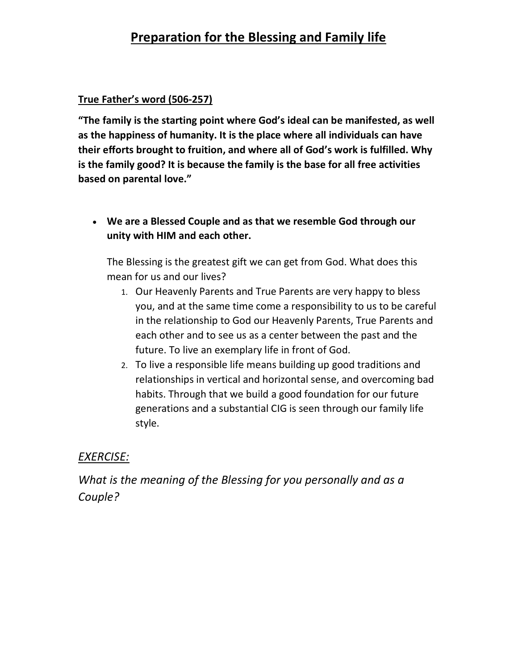## Preparation for the Blessing and Family life

#### True Father's word (506-257)

"The family is the starting point where God's ideal can be manifested, as well as the happiness of humanity. It is the place where all individuals can have their efforts brought to fruition, and where all of God's work is fulfilled. Why is the family good? It is because the family is the base for all free activities based on parental love."

 We are a Blessed Couple and as that we resemble God through our unity with HIM and each other.

The Blessing is the greatest gift we can get from God. What does this mean for us and our lives?

- 1. Our Heavenly Parents and True Parents are very happy to bless you, and at the same time come a responsibility to us to be careful in the relationship to God our Heavenly Parents, True Parents and each other and to see us as a center between the past and the future. To live an exemplary life in front of God.
- 2. To live a responsible life means building up good traditions and relationships in vertical and horizontal sense, and overcoming bad habits. Through that we build a good foundation for our future generations and a substantial CIG is seen through our family life style.

#### EXERCISE:

What is the meaning of the Blessing for you personally and as a Couple?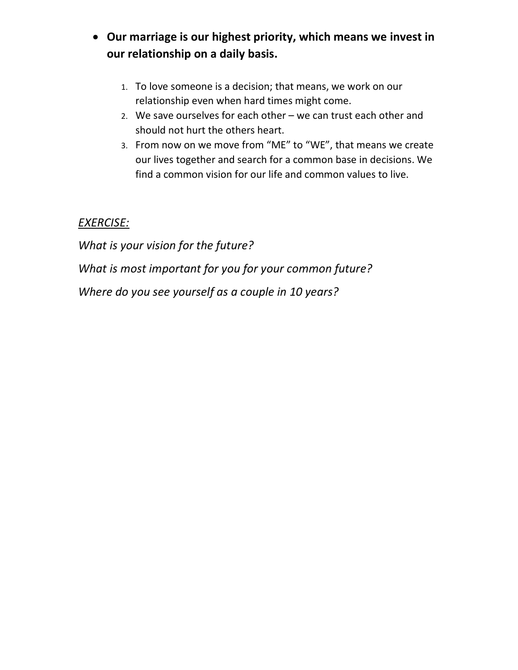### Our marriage is our highest priority, which means we invest in our relationship on a daily basis.

- 1. To love someone is a decision; that means, we work on our relationship even when hard times might come.
- 2. We save ourselves for each other we can trust each other and should not hurt the others heart.
- 3. From now on we move from "ME" to "WE", that means we create our lives together and search for a common base in decisions. We find a common vision for our life and common values to live.

### EXERCISE:

What is your vision for the future? What is most important for you for your common future? Where do you see yourself as a couple in 10 years?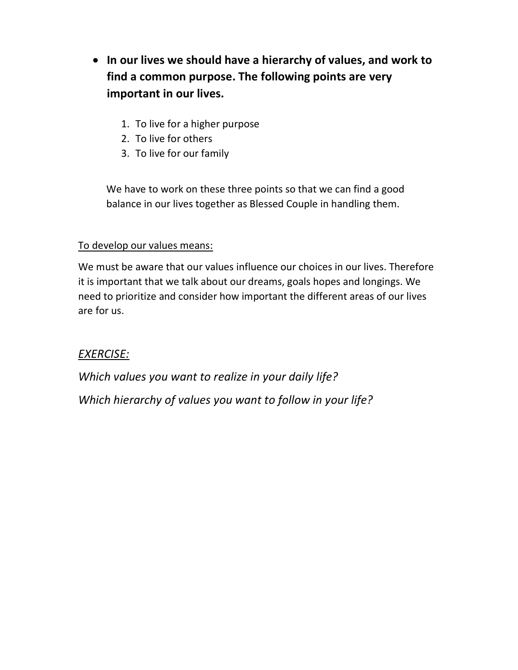- In our lives we should have a hierarchy of values, and work to find a common purpose. The following points are very important in our lives.
	- 1. To live for a higher purpose
	- 2. To live for others
	- 3. To live for our family

We have to work on these three points so that we can find a good balance in our lives together as Blessed Couple in handling them.

#### To develop our values means:

We must be aware that our values influence our choices in our lives. Therefore it is important that we talk about our dreams, goals hopes and longings. We need to prioritize and consider how important the different areas of our lives are for us.

#### EXERCISE:

Which values you want to realize in your daily life?

Which hierarchy of values you want to follow in your life?